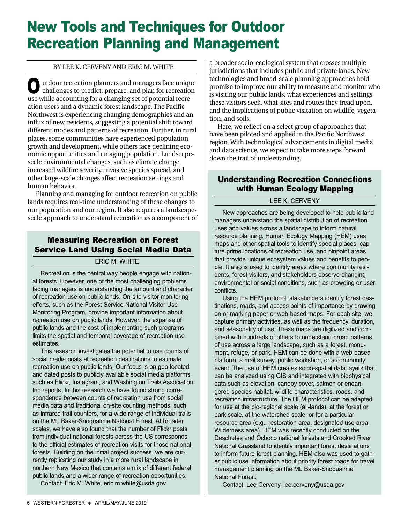# New Tools and Techniques for Outdoor Recreation Planning and Management

#### BY LEE K. CERVENY AND ERIC M. WHITE

utdoor recreation planners and managers face unique challenges to predict, prepare, and plan for recreation use while accounting for a changing set of potential recreation users and a dynamic forest landscape. The Pacific Northwest is experiencing changing demographics and an influx of new residents, suggesting a potential shift toward different modes and patterns of recreation. Further, in rural places, some communities have experienced population growth and development, while others face declining economic opportunities and an aging population. Landscapescale environmental changes, such as climate change, increased wildfire severity, invasive species spread, and other large-scale changes affect recreation settings and human behavior. O

Planning and managing for outdoor recreation on public lands requires real-time understanding of these changes to our population and our region. It also requires a landscapescale approach to understand recreation as a component of

## Measuring Recreation on Forest Service Land Using Social Media Data

#### ERIC M. WHITE

Recreation is the central way people engage with national forests. However, one of the most challenging problems facing managers is understanding the amount and character of recreation use on public lands. On-site visitor monitoring efforts, such as the Forest Service National Visitor Use Monitoring Program, provide important information about recreation use on public lands. However, the expanse of public lands and the cost of implementing such programs limits the spatial and temporal coverage of recreation use estimates.

This research investigates the potential to use counts of social media posts at recreation destinations to estimate recreation use on public lands. Our focus is on geo-located and dated posts to publicly available social media platforms such as Flickr, Instagram, and Washington Trails Association trip reports. In this research we have found strong correspondence between counts of recreation use from social media data and traditional on-site counting methods, such as infrared trail counters, for a wide range of individual trails on the Mt. Baker-Snoqualmie National Forest. At broader scales, we have also found that the number of Flickr posts from individual national forests across the US corresponds to the official estimates of recreation visits for those national forests. Building on the initial project success, we are currently replicating our study in a more rural landscape in northern New Mexico that contains a mix of different federal public lands and a wider range of recreation opportunities.

Contact: Eric M. White, eric.m.white@usda.gov

a broader socio-ecological system that crosses multiple jurisdictions that includes public and private lands. New technologies and broad-scale planning approaches hold promise to improve our ability to measure and monitor who is visiting our public lands, what experiences and settings these visitors seek, what sites and routes they tread upon, and the implications of public visitation on wildlife, vegetation, and soils.

Here, we reflect on a select group of approaches that have been piloted and applied in the Pacific Northwest region. With technological advancements in digital media and data science, we expect to take more steps forward down the trail of understanding.

## Understanding Recreation Connections with Human Ecology Mapping

#### LEE K. CERVENY

New approaches are being developed to help public land managers understand the spatial distribution of recreation uses and values across a landscape to inform natural resource planning. Human Ecology Mapping (HEM) uses maps and other spatial tools to identify special places, capture prime locations of recreation use, and pinpoint areas that provide unique ecosystem values and benefits to people. It also is used to identify areas where community residents, forest visitors, and stakeholders observe changing environmental or social conditions, such as crowding or user conflicts.

Using the HEM protocol, stakeholders identify forest destinations, roads, and access points of importance by drawing on or marking paper or web-based maps. For each site, we capture primary activities, as well as the frequency, duration, and seasonality of use. These maps are digitized and combined with hundreds of others to understand broad patterns of use across a large landscape, such as a forest, monument, refuge, or park. HEM can be done with a web-based platform, a mail survey, public workshop, or a community event. The use of HEM creates socio-spatial data layers that can be analyzed using GIS and integrated with biophysical data such as elevation, canopy cover, salmon or endangered species habitat, wildlife characteristics, roads, and recreation infrastructure. The HEM protocol can be adapted for use at the bio-regional scale (all-lands), at the forest or park scale, at the watershed scale, or for a particular resource area (e.g., restoration area, designated use area, Wilderness area). HEM was recently conducted on the Deschutes and Ochoco national forests and Crooked River National Grassland to identify important forest destinations to inform future forest planning. HEM also was used to gather public use information about priority forest roads for travel management planning on the Mt. Baker-Snoqualmie National Forest.

Contact: Lee Cerveny, lee.cerveny@usda.gov